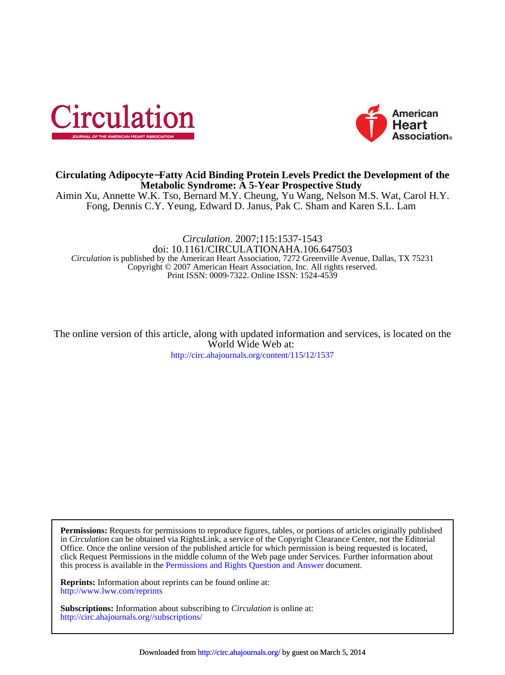



# **Metabolic Syndrome: A 5-Year Prospective Study Circulating Adipocyte**−**Fatty Acid Binding Protein Levels Predict the Development of the**

Fong, Dennis C.Y. Yeung, Edward D. Janus, Pak C. Sham and Karen S.L. Lam Aimin Xu, Annette W.K. Tso, Bernard M.Y. Cheung, Yu Wang, Nelson M.S. Wat, Carol H.Y.

### Print ISSN: 0009-7322. Online ISSN: 1524-4539 Copyright © 2007 American Heart Association, Inc. All rights reserved. *Circulation* is published by the American Heart Association, 7272 Greenville Avenue, Dallas, TX 75231 doi: 10.1161/CIRCULATIONAHA.106.647503 *Circulation.* 2007;115:1537-1543

<http://circ.ahajournals.org/content/115/12/1537> World Wide Web at: The online version of this article, along with updated information and services, is located on the

this process is available in the [Permissions and Rights Question and Answer d](http://www.ahajournals.org/site/rights/)ocument. click Request Permissions in the middle column of the Web page under Services. Further information about Office. Once the online version of the published article for which permission is being requested is located, in *Circulation* can be obtained via RightsLink, a service of the Copyright Clearance Center, not the Editorial **Permissions:** Requests for permissions to reproduce figures, tables, or portions of articles originally published

<http://www.lww.com/reprints> **Reprints:** Information about reprints can be found online at:

<http://circ.ahajournals.org//subscriptions/> **Subscriptions:** Information about subscribing to *Circulation* [is online at:](http://circ.ahajournals.org/)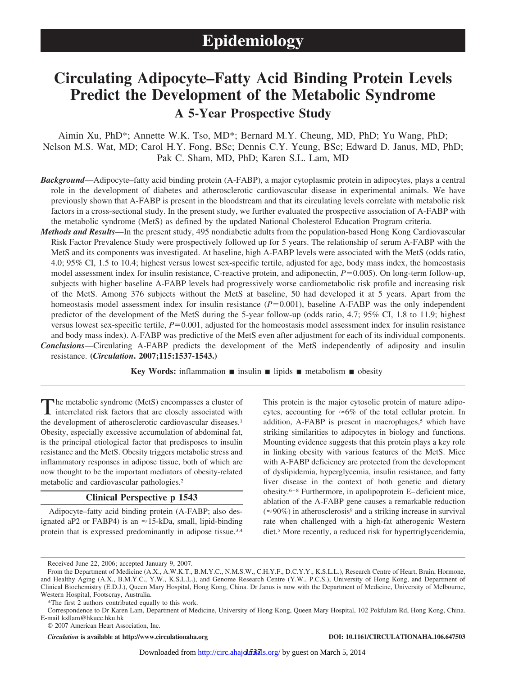# **Circulating Adipocyte–Fatty Acid Binding Protein Levels Predict the Development of the Metabolic Syndrome A 5-Year Prospective Study**

Aimin Xu, PhD\*; Annette W.K. Tso, MD\*; Bernard M.Y. Cheung, MD, PhD; Yu Wang, PhD; Nelson M.S. Wat, MD; Carol H.Y. Fong, BSc; Dennis C.Y. Yeung, BSc; Edward D. Janus, MD, PhD; Pak C. Sham, MD, PhD; Karen S.L. Lam, MD

- *Background*—Adipocyte–fatty acid binding protein (A-FABP), a major cytoplasmic protein in adipocytes, plays a central role in the development of diabetes and atherosclerotic cardiovascular disease in experimental animals. We have previously shown that A-FABP is present in the bloodstream and that its circulating levels correlate with metabolic risk factors in a cross-sectional study. In the present study, we further evaluated the prospective association of A-FABP with the metabolic syndrome (MetS) as defined by the updated National Cholesterol Education Program criteria.
- *Methods and Results*—In the present study, 495 nondiabetic adults from the population-based Hong Kong Cardiovascular Risk Factor Prevalence Study were prospectively followed up for 5 years. The relationship of serum A-FABP with the MetS and its components was investigated. At baseline, high A-FABP levels were associated with the MetS (odds ratio, 4.0; 95% CI, 1.5 to 10.4; highest versus lowest sex-specific tertile, adjusted for age, body mass index, the homeostasis model assessment index for insulin resistance, C-reactive protein, and adiponectin,  $P=0.005$ ). On long-term follow-up, subjects with higher baseline A-FABP levels had progressively worse cardiometabolic risk profile and increasing risk of the MetS. Among 376 subjects without the MetS at baseline, 50 had developed it at 5 years. Apart from the homeostasis model assessment index for insulin resistance  $(P=0.001)$ , baseline A-FABP was the only independent predictor of the development of the MetS during the 5-year follow-up (odds ratio, 4.7; 95% CI, 1.8 to 11.9; highest versus lowest sex-specific tertile,  $P=0.001$ , adjusted for the homeostasis model assessment index for insulin resistance and body mass index). A-FABP was predictive of the MetS even after adjustment for each of its individual components. *Conclusions*—Circulating A-FABP predicts the development of the MetS independently of adiposity and insulin

resistance. **(***Circulation***. 2007;115:1537-1543.)**

**Key Words:** inflammation  $\blacksquare$  insulin  $\blacksquare$  lipids  $\blacksquare$  metabolism  $\blacksquare$  obesity

The metabolic syndrome (MetS) encompasses a cluster of interrelated risk factors that are closely associated with the development of atherosclerotic cardiovascular diseases.<sup>1</sup> Obesity, especially excessive accumulation of abdominal fat, is the principal etiological factor that predisposes to insulin resistance and the MetS. Obesity triggers metabolic stress and inflammatory responses in adipose tissue, both of which are now thought to be the important mediators of obesity-related metabolic and cardiovascular pathologies.2

## **Clinical Perspective p 1543**

Adipocyte–fatty acid binding protein (A-FABP; also designated aP2 or FABP4) is an  $\approx$ 15-kDa, small, lipid-binding protein that is expressed predominantly in adipose tissue.<sup>3,4</sup>

This protein is the major cytosolic protein of mature adipocytes, accounting for  $\approx 6\%$  of the total cellular protein. In addition, A-FABP is present in macrophages, $5$  which have striking similarities to adipocytes in biology and functions. Mounting evidence suggests that this protein plays a key role in linking obesity with various features of the MetS. Mice with A-FABP deficiency are protected from the development of dyslipidemia, hyperglycemia, insulin resistance, and fatty liver disease in the context of both genetic and dietary obesity.6–8 Furthermore, in apolipoprotein E– deficient mice, ablation of the A-FABP gene causes a remarkable reduction  $(\approx 90\%)$  in atherosclerosis<sup>9</sup> and a striking increase in survival rate when challenged with a high-fat atherogenic Western diet.5 More recently, a reduced risk for hypertriglyceridemia,

\*The first 2 authors contributed equally to this work.

*Circulation* **is available at http://www.circulationaha.org DOI: 10.1161/CIRCULATIONAHA.106.647503**

Received June 22, 2006; accepted January 9, 2007.

From the Department of Medicine (A.X., A.W.K.T., B.M.Y.C., N.M.S.W., C.H.Y.F., D.C.Y.Y., K.S.L.L.), Research Centre of Heart, Brain, Hormone, and Healthy Aging (A.X., B.M.Y.C., Y.W., K.S.L.L.), and Genome Research Centre (Y.W., P.C.S.), University of Hong Kong, and Department of Clinical Biochemistry (E.D.J.), Queen Mary Hospital, Hong Kong, China. Dr Janus is now with the Department of Medicine, University of Melbourne, Western Hospital, Footscray, Australia.

Correspondence to Dr Karen Lam, Department of Medicine, University of Ho[ng Kong, Queen Mary Hospita](http://circ.ahajournals.org/)l, 102 Pokfulam Rd, Hong Kong, China. E-mail ksllam@hkucc.hku.hk

<sup>© 2007</sup> American Heart Association, Inc.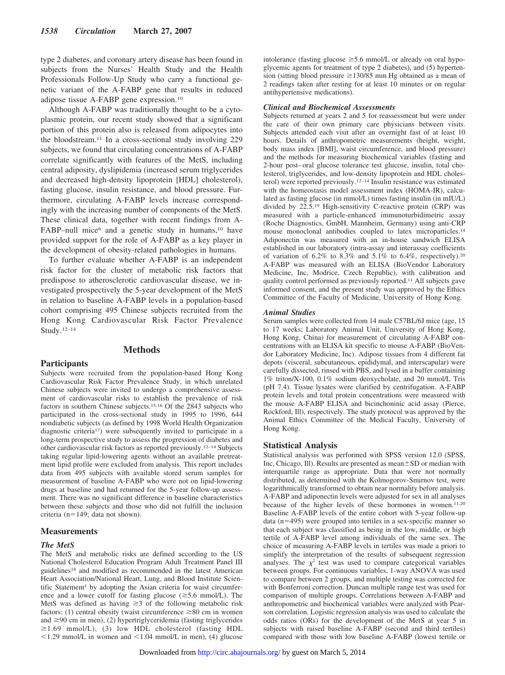type 2 diabetes, and coronary artery disease has been found in subjects from the Nurses' Health Study and the Health Professionals Follow-Up Study who carry a functional genetic variant of the A-FABP gene that results in reduced adipose tissue A-FABP gene expression.10

Although A-FABP was traditionally thought to be a cytoplasmic protein, our recent study showed that a significant portion of this protein also is released from adipocytes into the bloodstream.11 In a cross-sectional study involving 229 subjects, we found that circulating concentrations of A-FABP correlate significantly with features of the MetS, including central adiposity, dyslipidemia (increased serum triglycerides and decreased high-density lipoprotein [HDL] cholesterol), fasting glucose, insulin resistance, and blood pressure. Furthermore, circulating A-FABP levels increase correspondingly with the increasing number of components of the MetS. These clinical data, together with recent findings from A-FABP-null mice<sup>6</sup> and a genetic study in humans,<sup>10</sup> have provided support for the role of A-FABP as a key player in the development of obesity-related pathologies in humans.

To further evaluate whether A-FABP is an independent risk factor for the cluster of metabolic risk factors that predispose to atherosclerotic cardiovascular disease, we investigated prospectively the 5-year development of the MetS in relation to baseline A-FABP levels in a population-based cohort comprising 495 Chinese subjects recruited from the Hong Kong Cardiovascular Risk Factor Prevalence Study.12–14

# **Methods**

#### **Participants**

Subjects were recruited from the population-based Hong Kong Cardiovascular Risk Factor Prevalence Study, in which unrelated Chinese subjects were invited to undergo a comprehensive assessment of cardiovascular risks to establish the prevalence of risk factors in southern Chinese subjects.15,16 Of the 2843 subjects who participated in the cross-sectional study in 1995 to 1996, 644 nondiabetic subjects (as defined by 1998 World Health Organization diagnostic criteria17) were subsequently invited to participate in a long-term prospective study to assess the progression of diabetes and other cardiovascular risk factors as reported previously.12–14 Subjects taking regular lipid-lowering agents without an available pretreatment lipid profile were excluded from analysis. This report includes data from 495 subjects with available stored serum samples for measurement of baseline A-FABP who were not on lipid-lowering drugs at baseline and had returned for the 5-year follow-up assessment. There was no significant difference in baseline characteristics between these subjects and those who did not fulfill the inclusion criteria ( $n=149$ ; data not shown).

#### **Measurements**

#### *The MetS*

The MetS and metabolic risks are defined according to the US National Cholesterol Education Program Adult Treatment Panel III guidelines18 and modified as recommended in the latest American Heart Association/National Heart, Lung, and Blood Institute Scientific Statement<sup>1</sup> by adopting the Asian criteria for waist circumference and a lower cutoff for fasting glucose  $(\geq 5.6 \text{ mmol/L})$ . The MetS was defined as having  $\geq 3$  of the following metabolic risk factors: (1) central obesity (waist circumference  $\geq 80$  cm in women and  $\geq$ 90 cm in men), (2) hypertriglyceridemia (fasting triglycerides  $\geq$ 1.69 mmol/L), (3) low HDL cholesterol (fasting HDL  $1.29$  mmol/L in women and  $1.04$  mmol/L in men), (4) glucose intolerance (fasting glucose  $\geq 5.6$  mmol/L or already on oral hypoglycemic agents for treatment of type 2 diabetes), and (5) hypertension (sitting blood pressure  $\geq$ 130/85 mm Hg obtained as a mean of 2 readings taken after resting for at least 10 minutes or on regular antihypertensive medications).

#### *Clinical and Biochemical Assessments*

Subjects returned at years 2 and 5 for reassessment but were under the care of their own primary care physicians between visits. Subjects attended each visit after an overnight fast of at least 10 hours. Details of anthropometric measurements (height, weight, body mass index [BMI], waist circumference, and blood pressure) and the methods for measuring biochemical variables (fasting and 2-hour post– oral glucose tolerance test glucose, insulin, total cholesterol, triglycerides, and low-density lipoprotein and HDL cholesterol) were reported previously.12–14 Insulin resistance was estimated with the homeostasis model assessment index (HOMA-IR), calculated as fasting glucose (in mmol/L) times fasting insulin (in mIU/L) divided by 22.5.19 High-sensitivity C-reactive protein (CRP) was measured with a particle-enhanced immunoturbidimetric assay (Roche Diagnostics, GmbH, Mannheim, Germany) using anti-CRP mouse monoclonal antibodies coupled to latex microparticles.<sup>14</sup> Adiponectin was measured with an in-house sandwich ELISA established in our laboratory (intra-assay and interassay coefficients of variation of  $6.2\%$  to  $8.3\%$  and  $5.1\%$  to  $6.4\%$ , respectively).<sup>20</sup> A-FABP was measured with an ELISA (BioVendor Laboratory Medicine, Inc, Modrice, Czech Republic), with calibration and quality control performed as previously reported.11 All subjects gave informed consent, and the present study was approved by the Ethics Committee of the Faculty of Medicine, University of Hong Kong.

#### *Animal Studies*

Serum samples were collected from 14 male C57BL/6J mice (age, 15 to 17 weeks; Laboratory Animal Unit, University of Hong Kong, Hong Kong, China) for measurement of circulating A-FABP concentrations with an ELISA kit specific to mouse A-FABP (BioVendor Laboratory Medicine, Inc). Adipose tissues from 4 different fat depots (visceral, subcutaneous, epididymal, and interscapular) were carefully dissected, rinsed with PBS, and lysed in a buffer containing 1% triton/X-100, 0.1% sodium deoxycholate, and 20 mmol/L Tris (pH 7.4). Tissue lysates were clarified by centrifugation. A-FABP protein levels and total protein concentrations were measured with the mouse A-FABP ELISA and bicinchoninic acid assay (Pierce, Rockford, Ill), respectively. The study protocol was approved by the Animal Ethics Committee of the Medical Faculty, University of Hong Kong.

#### **Statistical Analysis**

Statistical analysis was performed with SPSS version 12.0 (SPSS, Inc, Chicago, Ill). Results are presented as mean $\pm$ SD or median with interquartile range as appropriate. Data that were not normally distributed, as determined with the Kolmogorov-Smirnov test, were logarithmically transformed to obtain near normality before analysis. A-FABP and adiponectin levels were adjusted for sex in all analyses because of the higher levels of these hormones in women.11,20 Baseline A-FABP levels of the entire cohort with 5-year follow-up data  $(n=495)$  were grouped into tertiles in a sex-specific manner so that each subject was classified as being in the low, middle, or high tertile of A-FABP level among individuals of the same sex. The choice of measuring A-FABP levels in tertiles was made a priori to simplify the interpretation of the results of subsequent regression analyses. The  $\chi^2$  test was used to compare categorical variables between groups. For continuous variables, 1-way ANOVA was used to compare between 2 groups, and multiple testing was corrected for with Bonferroni correction. Duncan multiple range test was used for comparison of multiple groups. Correlations between A-FABP and anthropometric and biochemical variables were analyzed with Pearson correlation. Logistic regression analysis was used to calculate the [odds ratios \(ORs\) for the de](http://circ.ahajournals.org/)velopment of the MetS at year 5 in subjects with raised baseline A-FABP (second and third tertiles) compared with those with low baseline A-FABP (lowest tertile or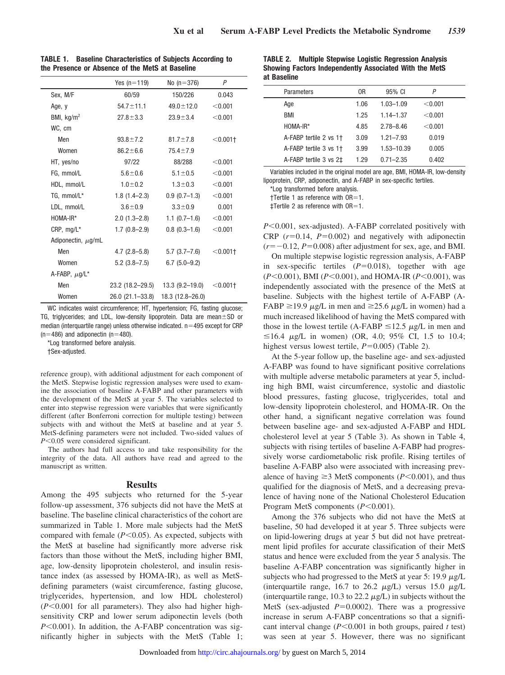|                         | Yes $(n=119)$    | No ( $n = 376$ ) | P           |
|-------------------------|------------------|------------------|-------------|
| Sex, M/F                | 60/59            | 150/226          | 0.043       |
| Age, y                  | $54.7 \pm 11.1$  | $49.0 \pm 12.0$  | < 0.001     |
| BMI, $kg/m2$            | $27.8 \pm 3.3$   | $23.9 \pm 3.4$   | < 0.001     |
| WC, cm                  |                  |                  |             |
| Men                     | $93.8 \pm 7.2$   | $81.7 \pm 7.8$   | < 0.001     |
| Women                   | $86.2 \pm 6.6$   | $75.4 \pm 7.9$   |             |
| HT, yes/no              | 97/22            | 88/288           | < 0.001     |
| FG, mmol/L              | $5.6 + 0.6$      | $5.1 \pm 0.5$    | < 0.001     |
| HDL, mmol/L             | $1.0 + 0.2$      | $1.3 \pm 0.3$    | < 0.001     |
| TG, mmol/L*             | $1.8(1.4-2.3)$   | $0.9(0.7-1.3)$   | < 0.001     |
| LDL, mmol/L             | $3.6 + 0.9$      | $3.3 \pm 0.9$    | 0.001       |
| HOMA-IR*                | $2.0(1.3-2.8)$   | $1.1(0.7-1.6)$   | < 0.001     |
| CRP, mg/L*              | $1.7(0.8-2.9)$   | $0.8(0.3-1.6)$   | < 0.001     |
| Adiponectin, $\mu$ g/mL |                  |                  |             |
| Men                     | $4.7(2.8-5.8)$   | $5.7(3.7-7.6)$   | < 0.001     |
| Women                   | $5.2(3.8-7.5)$   | $6.7(5.0-9.2)$   |             |
| A-FABP, $\mu$ g/L*      |                  |                  |             |
| Men                     | 23.2 (18.2–29.5) | $13.3(9.2-19.0)$ | $< 0.001$ † |
| Women                   | 26.0 (21.1-33.8) | 18.3 (12.8-26.0) |             |

**TABLE 1. Baseline Characteristics of Subjects According to the Presence or Absence of the MetS at Baseline**

WC indicates waist circumference: HT, hypertension: FG, fasting glucose; TG, triglycerides; and LDL, low-density lipoprotein. Data are mean $\pm$ SD or median (interquartile range) unless otherwise indicated.  $n=495$  except for CRP  $(n=486)$  and adiponectin  $(n=480)$ .

\*Log transformed before analysis.

†Sex-adjusted.

reference group), with additional adjustment for each component of the MetS. Stepwise logistic regression analyses were used to examine the association of baseline A-FABP and other parameters with the development of the MetS at year 5. The variables selected to enter into stepwise regression were variables that were significantly different (after Bonferroni correction for multiple testing) between subjects with and without the MetS at baseline and at year 5. MetS-defining parameters were not included. Two-sided values of *P*<0.05 were considered significant.

The authors had full access to and take responsibility for the integrity of the data. All authors have read and agreed to the manuscript as written.

#### **Results**

Among the 495 subjects who returned for the 5-year follow-up assessment, 376 subjects did not have the MetS at baseline. The baseline clinical characteristics of the cohort are summarized in Table 1. More male subjects had the MetS compared with female  $(P<0.05)$ . As expected, subjects with the MetS at baseline had significantly more adverse risk factors than those without the MetS, including higher BMI, age, low-density lipoprotein cholesterol, and insulin resistance index (as assessed by HOMA-IR), as well as MetSdefining parameters (waist circumference, fasting glucose, triglycerides, hypertension, and low HDL cholesterol)  $(P<0.001$  for all parameters). They also had higher highsensitivity CRP and lower serum adiponectin levels (both  $P \le 0.001$ ). In addition, the A-FABP concentration was significantly higher in subjects with the MetS (Table 1;

|             | <b>TABLE 2. Multiple Stepwise Logistic Regression Analysis</b> |  |  |  |
|-------------|----------------------------------------------------------------|--|--|--|
|             | Showing Factors Independently Associated With the MetS         |  |  |  |
| at Baseline |                                                                |  |  |  |

| Parameters             | 0R   | 95% CI        | Ρ       |
|------------------------|------|---------------|---------|
| Age                    | 1.06 | $1.03 - 1.09$ | < 0.001 |
| <b>BMI</b>             | 1.25 | $1.14 - 1.37$ | < 0.001 |
| HOMA-IR*               | 4.85 | $2.78 - 8.46$ | < 0.001 |
| A-FABP tertile 2 vs 1+ | 3.09 | $1.21 - 7.93$ | 0.019   |
| A-FABP tertile 3 vs 1+ | 3.99 | 1.53-10.39    | 0.005   |
| A-FABP tertile 3 vs 2‡ | 1.29 | $0.71 - 2.35$ | 0.402   |

Variables included in the original model are age, BMI, HOMA-IR, low-density lipoprotein, CRP, adiponectin, and A-FABP in sex-specific tertiles.

\*Log transformed before analysis.

 $t$ Tertile 1 as reference with  $OR=1$ .

 $\ddagger$ Tertile 2 as reference with OR=1.

*P*<0.001, sex-adjusted). A-FABP correlated positively with CRP  $(r=0.14, P=0.002)$  and negatively with adiponectin  $(r=-0.12, P=0.008)$  after adjustment for sex, age, and BMI.

On multiple stepwise logistic regression analysis, A-FABP in sex-specific tertiles  $(P=0.018)$ , together with age ( $P$ <0.001), BMI ( $P$ <0.001), and HOMA-IR ( $P$ <0.001), was independently associated with the presence of the MetS at baseline. Subjects with the highest tertile of A-FABP (A-FABP  $\geq$ 19.9  $\mu$ g/L in men and  $\geq$ 25.6  $\mu$ g/L in women) had a much increased likelihood of having the MetS compared with those in the lowest tertile (A-FABP  $\leq$ 12.5  $\mu$ g/L in men and  $\leq$ 16.4  $\mu$ g/L in women) (OR, 4.0; 95% CI, 1.5 to 10.4; highest versus lowest tertile,  $P=0.005$ ) (Table 2).

At the 5-year follow up, the baseline age- and sex-adjusted A-FABP was found to have significant positive correlations with multiple adverse metabolic parameters at year 5, including high BMI, waist circumference, systolic and diastolic blood pressures, fasting glucose, triglycerides, total and low-density lipoprotein cholesterol, and HOMA-IR. On the other hand, a significant negative correlation was found between baseline age- and sex-adjusted A-FABP and HDL cholesterol level at year 5 (Table 3). As shown in Table 4, subjects with rising tertiles of baseline A-FABP had progressively worse cardiometabolic risk profile. Rising tertiles of baseline A-FABP also were associated with increasing prevalence of having  $\geq$ 3 MetS components (*P*<0.001), and thus qualified for the diagnosis of MetS, and a decreasing prevalence of having none of the National Cholesterol Education Program MetS components (*P*<0.001).

Among the 376 subjects who did not have the MetS at baseline, 50 had developed it at year 5. Three subjects were on lipid-lowering drugs at year 5 but did not have pretreatment lipid profiles for accurate classification of their MetS status and hence were excluded from the year 5 analysis. The baseline A-FABP concentration was significantly higher in subjects who had progressed to the MetS at year 5: 19.9  $\mu$ g/L (interquartile range, 16.7 to 26.2  $\mu$ g/L) versus 15.0  $\mu$ g/L (interquartile range, 10.3 to 22.2  $\mu$ g/L) in subjects without the MetS (sex-adjusted  $P=0.0002$ ). There was a progressive i[ncrease in serum A-FABP](http://circ.ahajournals.org/) concentrations so that a significant interval change  $(P<0.001$  in both groups, paired *t* test) was seen at year 5. However, there was no significant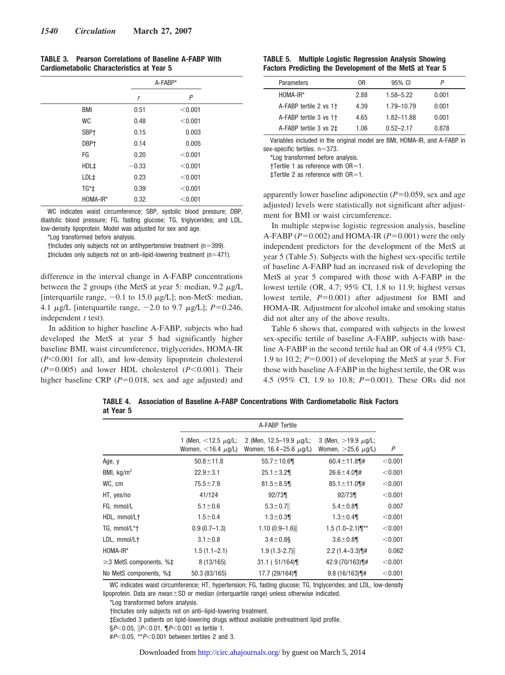| <b>TABLE 3.</b> | <b>Pearson Correlations of Baseline A-FABP With</b> |  |
|-----------------|-----------------------------------------------------|--|
|                 | Cardiometabolic Characteristics at Year 5           |  |

|            |         | A-FABP* |  |
|------------|---------|---------|--|
|            | r       | P       |  |
| <b>BMI</b> | 0.51    | < 0.001 |  |
| <b>WC</b>  | 0.48    | < 0.001 |  |
| SBP+       | 0.15    | 0.003   |  |
| DBP+       | 0.14    | 0.005   |  |
| FG         | 0.20    | < 0.001 |  |
| HDL‡       | $-0.33$ | < 0.001 |  |
| LDL‡       | 0.23    | < 0.001 |  |
| $TG^*$ ‡   | 0.39    | < 0.001 |  |
| HOMA-IR*   | 0.32    | < 0.001 |  |

WC indicates waist circumference; SBP, systolic blood pressure; DBP, diastolic blood pressure; FG, fasting glucose; TG, triglycerides; and LDL, low-density lipoprotein. Model was adjusted for sex and age.

\*Log transformed before analysis.

 $\dagger$ Includes only subjects not on antihypertensive treatment (n=399).

 $\ddagger$ Includes only subjects not on anti-lipid-lowering treatment (n=471).

difference in the interval change in A-FABP concentrations between the 2 groups (the MetS at year 5: median,  $9.2 \mu g/L$ [interquartile range,  $-0.1$  to 15.0  $\mu$ g/L]; non-MetS: median, 4.1  $\mu$ g/L [interquartile range,  $-2.0$  to 9.7  $\mu$ g/L]; *P*=0.246, independent *t* test).

In addition to higher baseline A-FABP, subjects who had developed the MetS at year 5 had significantly higher baseline BMI, waist circumference, triglycerides, HOMA-IR  $(P<0.001$  for all), and low-density lipoprotein cholesterol  $(P=0.005)$  and lower HDL cholesterol  $(P<0.001)$ . Their higher baseline CRP  $(P=0.018$ , sex and age adjusted) and

| TABLE 5. | <b>Multiple Logistic Regression Analysis Showing</b>     |  |  |
|----------|----------------------------------------------------------|--|--|
|          | Factors Predicting the Development of the MetS at Year 5 |  |  |

| Parameters                        | 0R   | 95% CI        | P     |  |
|-----------------------------------|------|---------------|-------|--|
| HOMA-IR*                          | 2.88 | $1.58 - 5.22$ | 0.001 |  |
| A-FABP tertile 2 vs 1+            | 4.39 | 1.79-10.79    | 0.001 |  |
| A-FABP tertile 3 vs 1+            | 4.65 | 1.82-11.88    | 0.001 |  |
| A-FABP tertile $3$ vs $2\ddagger$ | 1.06 | $0.52 - 2.17$ | 0.878 |  |

Variables included in the original model are BMI, HOMA-IR, and A-FABP in sex-specific tertiles.  $n=373$ .

\*Log transformed before analysis.

 $†$ Tertile 1 as reference with  $OR=1$ .

 $\ddagger$ Tertile 2 as reference with OR=1.

apparently lower baseline adiponectin  $(P=0.059)$ , sex and age adjusted) levels were statistically not significant after adjustment for BMI or waist circumference.

In multiple stepwise logistic regression analysis, baseline A-FABP  $(P=0.002)$  and HOMA-IR  $(P=0.001)$  were the only independent predictors for the development of the MetS at year 5 (Table 5). Subjects with the highest sex-specific tertile of baseline A-FABP had an increased risk of developing the MetS at year 5 compared with those with A-FABP in the lowest tertile (OR, 4.7; 95% CI, 1.8 to 11.9; highest versus lowest tertile,  $P=0.001$ ) after adjustment for BMI and HOMA-IR. Adjustment for alcohol intake and smoking status did not alter any of the above results.

Table 6 shows that, compared with subjects in the lowest sex-specific tertile of baseline A-FABP, subjects with baseline A-FABP in the second tertile had an OR of 4.4 (95% CI, 1.9 to 10.2;  $P=0.001$ ) of developing the MetS at year 5. For those with baseline A-FABP in the highest tertile, the OR was 4.5 (95% CI, 1.9 to 10.8; *P*=0.001). These ORs did not

**TABLE 4. Association of Baseline A-FABP Concentrations With Cardiometabolic Risk Factors at Year 5**

|                                   |                                                            | A-FABP Tertile                                               |                                                       |         |
|-----------------------------------|------------------------------------------------------------|--------------------------------------------------------------|-------------------------------------------------------|---------|
|                                   | 1 (Men, $\lt 12.5 \mu q/L$ ;<br>Women, $<$ 16.4 $\mu$ g/L) | 2 (Men, 12.5-19.9 $\mu$ g/L;<br>Women, $16.4 - 25.6 \mu g/L$ | 3 (Men, $>19.9 \mu q/L$ ;<br>Women, $>25.6 \mu g/L$ ) | Ρ       |
| Age, y                            | $50.8 \pm 11.8$                                            | $55.7 \pm 10.6$                                              | $60.4 \pm 11.8$                                       | < 0.001 |
| BMI, $\text{kg/m}^2$              | $22.9 \pm 3.1$                                             | $25.1 \pm 3.2$                                               | $26.6 \pm 4.0$ ¶#                                     | < 0.001 |
| WC, cm                            | $75.5 \pm 7.9$                                             | $81.5 \pm 8.5$                                               | $85.1 \pm 11.0$                                       | < 0.001 |
| HT, yes/no                        | 41/124                                                     | 92/73                                                        | 92/73                                                 | < 0.001 |
| FG, mmol/L                        | $5.1 \pm 0.6$                                              | $5.3 \pm 0.7$                                                | $5.4 \pm 0.8$                                         | 0.007   |
| HDL, mmol/L <sup>+</sup>          | $1.5 - 0.4$                                                | $1.3 \pm 0.3$                                                | $1.3 \pm 0.4$                                         | < 0.001 |
| TG, mmol/L*+                      | $0.9(0.7-1.3)$                                             | $1.10(0.9-1.6)$                                              | $1.5(1.0-2.1)\$ <sup>**</sup>                         | < 0.001 |
| LDL, mmol/L <sup>+</sup>          | $3.1 \pm 0.8$                                              | $3.4 \pm 0.8$ §                                              | $3.6 \pm 0.8$                                         | < 0.001 |
| HOMA-IR*                          | $1.5(1.1-2.1)$                                             | $1.9(1.3-2.7)$                                               | $2.2(1.4-3.3)\%$                                      | 0.062   |
| $\geq$ 3 MetS components, % $\pm$ | 8 (13/165)                                                 | 31.1(51/164)                                                 | 42.9 (70/163)¶#                                       | < 0.001 |
| No MetS components, %‡            | 50.3 (83/165)                                              | 17.7 (29/164)¶                                               | $9.8(16/163)$ ¶#                                      | < 0.001 |

WC indicates waist circumference; HT, hypertension; FG, fasting glucose; TG, triglycerides; and LDL, low-density lipoprotein. Data are mean $\pm$ SD or median (interquartile range) unless otherwise indicated.

\*Log transformed before analysis.

†Includes only subjects not on anti–lipid-lowering treatment.

‡Excluded 3 patients on lipid-lowering drugs without availa[ble pretreatment lipid profile.](http://circ.ahajournals.org/)

§*P*<0.05, *||P*<0.01, ¶*P*<0.001 vs tertile 1.

#*P*<0.05, \*\**P*<0.001 between tertiles 2 and 3.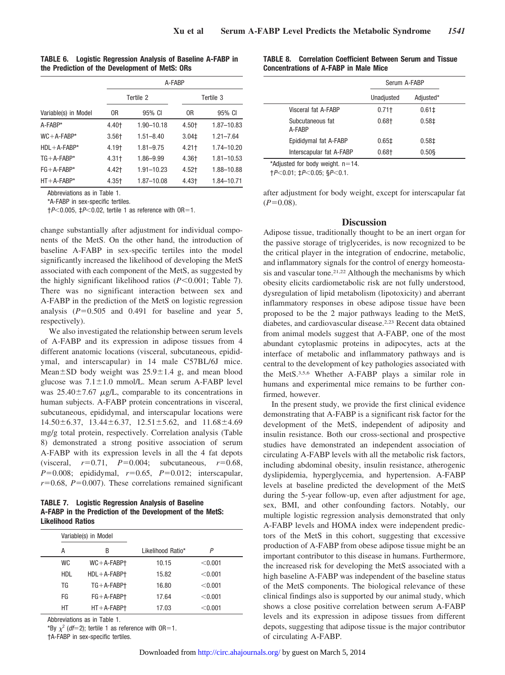|                      | A-FABP  |                |                |                |  |
|----------------------|---------|----------------|----------------|----------------|--|
|                      |         | Tertile 2      |                | Tertile 3      |  |
| Variable(s) in Model | 0R      | 95% CI         | 0 <sub>R</sub> | 95% CI         |  |
| $A$ -FABP*           | 4.40†   | 1.90-10.18     | 4.50†          | 1.87-10.83     |  |
| $WC + A - FABP*$     | $3.56+$ | $1.51 - 8.40$  | $3.04\pm$      | $1.21 - 7.64$  |  |
| $HDL + A-FABP*$      | 4.19+   | $1.81 - 9.75$  | $4.21+$        | 1.74-10.20     |  |
| $TG + A - FARP*$     | $4.31+$ | 1.86-9.99      | 4.36†          | $1.81 - 10.53$ |  |
| $FG + A - FABP*$     | 4.42†   | $1.91 - 10.23$ | 4.52†          | 1.88-10.88     |  |
| $HT + A-FABP*$       | $4.35+$ | 1.87-10.08     | 4.43†          | 1.84-10.71     |  |

**TABLE 6. Logistic Regression Analysis of Baseline A-FABP in the Prediction of the Development of MetS: ORs**

Abbreviations as in Table 1.

\*A-FABP in sex-specific tertiles.

 $\dagger P< 0.005$ ,  $\ddagger P< 0.02$ , tertile 1 as reference with OR=1.

change substantially after adjustment for individual components of the MetS. On the other hand, the introduction of baseline A-FABP in sex-specific tertiles into the model significantly increased the likelihood of developing the MetS associated with each component of the MetS, as suggested by the highly significant likelihood ratios  $(P<0.001$ ; Table 7). There was no significant interaction between sex and A-FABP in the prediction of the MetS on logistic regression analysis  $(P=0.505$  and 0.491 for baseline and year 5, respectively).

We also investigated the relationship between serum levels of A-FABP and its expression in adipose tissues from 4 different anatomic locations (visceral, subcutaneous, epididymal, and interscapular) in 14 male C57BL/6J mice. Mean $\pm$ SD body weight was 25.9 $\pm$ 1.4 g, and mean blood glucose was  $7.1 \pm 1.0$  mmol/L. Mean serum A-FABP level was  $25.40 \pm 7.67$   $\mu$ g/L, comparable to its concentrations in human subjects. A-FABP protein concentrations in visceral, subcutaneous, epididymal, and interscapular locations were  $14.50\pm6.37$ ,  $13.44\pm6.37$ ,  $12.51\pm5.62$ , and  $11.68\pm4.69$ mg/g total protein, respectively. Correlation analysis (Table 8) demonstrated a strong positive association of serum A-FABP with its expression levels in all the 4 fat depots (visceral,  $r=0.71$ ,  $P=0.004$ ; subcutaneous,  $r=0.68$ ,  $P=0.008$ ; epididymal,  $r=0.65$ ,  $P=0.012$ ; interscapular,  $r=0.68$ ,  $P=0.007$ ). These correlations remained significant

**TABLE 7. Logistic Regression Analysis of Baseline A-FABP in the Prediction of the Development of the MetS: Likelihood Ratios**

| Variable(s) in Model |                   |                   |         |
|----------------------|-------------------|-------------------|---------|
| А                    | B                 | Likelihood Ratio* | Р       |
| <b>WC</b>            | $WC + A - FABP +$ | 10.15             | < 0.001 |
| <b>HDL</b>           | $HDL + A-FABP$    | 15.82             | < 0.001 |
| TG                   | $TG + A - FABP +$ | 16.80             | < 0.001 |
| FG                   | $FG + A - FABP +$ | 17.64             | < 0.001 |
| НT                   | $HT + A-FABP$     | 17.03             | < 0.001 |

Abbreviations as in Table 1.

\*By  $\chi^2$  (*df*=2); tertile 1 as reference with OR=1. †A-FABP in sex-specific tertiles.

#### **TABLE 8. Correlation Coefficient Between Serum and Tissue Concentrations of A-FABP in Male Mice**

| Serum A-FABP |                   |  |
|--------------|-------------------|--|
| Unadjusted   | Adjusted*         |  |
| 0.71         | $0.61 \pm$        |  |
| $0.68+$      | 0.58 <sup>‡</sup> |  |
| $0.65 \pm$   | 0.58 <sup>‡</sup> |  |
| $0.68 +$     | $0.50$ §          |  |
|              |                   |  |

\*Adjusted for body weight.  $n=14$ .

†*P*0.01; ‡*P*0.05; §*P*0.1.

after adjustment for body weight, except for interscapular fat  $(P=0.08)$ .

#### **Discussion**

Adipose tissue, traditionally thought to be an inert organ for the passive storage of triglycerides, is now recognized to be the critical player in the integration of endocrine, metabolic, and inflammatory signals for the control of energy homeostasis and vascular tone.<sup>21,22</sup> Although the mechanisms by which obesity elicits cardiometabolic risk are not fully understood, dysregulation of lipid metabolism (lipotoxicity) and aberrant inflammatory responses in obese adipose tissue have been proposed to be the 2 major pathways leading to the MetS, diabetes, and cardiovascular disease.2,23 Recent data obtained from animal models suggest that A-FABP, one of the most abundant cytoplasmic proteins in adipocytes, acts at the interface of metabolic and inflammatory pathways and is central to the development of key pathologies associated with the MetS.3,5,6 Whether A-FABP plays a similar role in humans and experimental mice remains to be further confirmed, however.

In the present study, we provide the first clinical evidence demonstrating that A-FABP is a significant risk factor for the development of the MetS, independent of adiposity and insulin resistance. Both our cross-sectional and prospective studies have demonstrated an independent association of circulating A-FABP levels with all the metabolic risk factors, including abdominal obesity, insulin resistance, atherogenic dyslipidemia, hyperglycemia, and hypertension. A-FABP levels at baseline predicted the development of the MetS during the 5-year follow-up, even after adjustment for age, sex, BMI, and other confounding factors. Notably, our multiple logistic regression analysis demonstrated that only A-FABP levels and HOMA index were independent predictors of the MetS in this cohort, suggesting that excessive production of A-FABP from obese adipose tissue might be an important contributor to this disease in humans. Furthermore, the increased risk for developing the MetS associated with a high baseline A-FABP was independent of the baseline status of the MetS components. The biological relevance of these clinical findings also is supported by our animal study, which shows a close positive correlation between serum A-FABP l[evels and its expression](http://circ.ahajournals.org/) in adipose tissues from different depots, suggesting that adipose tissue is the major contributor of circulating A-FABP.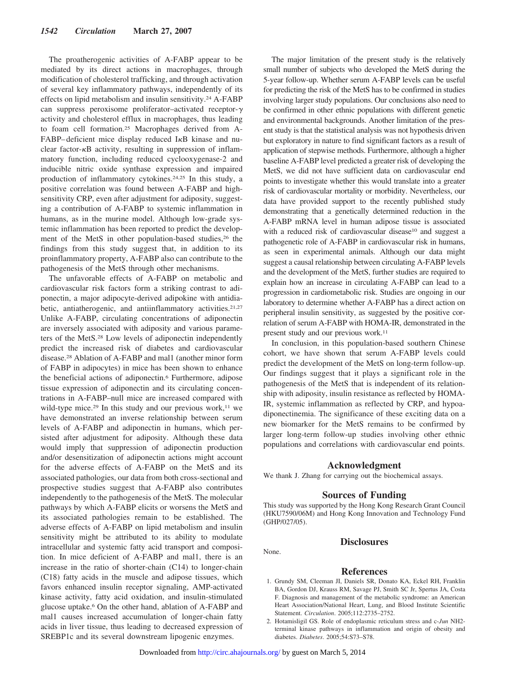The proatherogenic activities of A-FABP appear to be mediated by its direct actions in macrophages, through modification of cholesterol trafficking, and through activation of several key inflammatory pathways, independently of its effects on lipid metabolism and insulin sensitivity.24 A-FABP can suppress peroxisome proliferator-activated receptor- $\gamma$ activity and cholesterol efflux in macrophages, thus leading to foam cell formation.25 Macrophages derived from A- $FABP$ – deficient mice display reduced  $I<sub>K</sub>B$  kinase and nuclear factor- $\kappa$ B activity, resulting in suppression of inflammatory function, including reduced cyclooxygenase-2 and inducible nitric oxide synthase expression and impaired production of inflammatory cytokines.24,25 In this study, a positive correlation was found between A-FABP and highsensitivity CRP, even after adjustment for adiposity, suggesting a contribution of A-FABP to systemic inflammation in humans, as in the murine model. Although low-grade systemic inflammation has been reported to predict the development of the MetS in other population-based studies,<sup>26</sup> the findings from this study suggest that, in addition to its proinflammatory property, A-FABP also can contribute to the pathogenesis of the MetS through other mechanisms.

The unfavorable effects of A-FABP on metabolic and cardiovascular risk factors form a striking contrast to adiponectin, a major adipocyte-derived adipokine with antidiabetic, antiatherogenic, and antiinflammatory activities.<sup>21,27</sup> Unlike A-FABP, circulating concentrations of adiponectin are inversely associated with adiposity and various parameters of the MetS.28 Low levels of adiponectin independently predict the increased risk of diabetes and cardiovascular disease.28 Ablation of A-FABP and mal1 (another minor form of FABP in adipocytes) in mice has been shown to enhance the beneficial actions of adiponectin.6 Furthermore, adipose tissue expression of adiponectin and its circulating concentrations in A-FABP–null mice are increased compared with wild-type mice.<sup>29</sup> In this study and our previous work,<sup>11</sup> we have demonstrated an inverse relationship between serum levels of A-FABP and adiponectin in humans, which persisted after adjustment for adiposity. Although these data would imply that suppression of adiponectin production and/or desensitization of adiponectin actions might account for the adverse effects of A-FABP on the MetS and its associated pathologies, our data from both cross-sectional and prospective studies suggest that A-FABP also contributes independently to the pathogenesis of the MetS. The molecular pathways by which A-FABP elicits or worsens the MetS and its associated pathologies remain to be established. The adverse effects of A-FABP on lipid metabolism and insulin sensitivity might be attributed to its ability to modulate intracellular and systemic fatty acid transport and composition. In mice deficient of A-FABP and mal1, there is an increase in the ratio of shorter-chain (C14) to longer-chain (C18) fatty acids in the muscle and adipose tissues, which favors enhanced insulin receptor signaling, AMP-activated kinase activity, fatty acid oxidation, and insulin-stimulated glucose uptake.6 On the other hand, ablation of A-FABP and mal1 causes increased accumulation of longer-chain fatty acids in liver tissue, thus leading to decreased expression of SREBP1c and its several downstream lipogenic enzymes.

The major limitation of the present study is the relatively small number of subjects who developed the MetS during the 5-year follow-up. Whether serum A-FABP levels can be useful for predicting the risk of the MetS has to be confirmed in studies involving larger study populations. Our conclusions also need to be confirmed in other ethnic populations with different genetic and environmental backgrounds. Another limitation of the present study is that the statistical analysis was not hypothesis driven but exploratory in nature to find significant factors as a result of application of stepwise methods. Furthermore, although a higher baseline A-FABP level predicted a greater risk of developing the MetS, we did not have sufficient data on cardiovascular end points to investigate whether this would translate into a greater risk of cardiovascular mortality or morbidity. Nevertheless, our data have provided support to the recently published study demonstrating that a genetically determined reduction in the A-FABP mRNA level in human adipose tissue is associated with a reduced risk of cardiovascular disease<sup>10</sup> and suggest a pathogenetic role of A-FABP in cardiovascular risk in humans, as seen in experimental animals. Although our data might suggest a causal relationship between circulating A-FABP levels and the development of the MetS, further studies are required to explain how an increase in circulating A-FABP can lead to a progression in cardiometabolic risk. Studies are ongoing in our laboratory to determine whether A-FABP has a direct action on peripheral insulin sensitivity, as suggested by the positive correlation of serum A-FABP with HOMA-IR, demonstrated in the present study and our previous work.11

In conclusion, in this population-based southern Chinese cohort, we have shown that serum A-FABP levels could predict the development of the MetS on long-term follow-up. Our findings suggest that it plays a significant role in the pathogenesis of the MetS that is independent of its relationship with adiposity, insulin resistance as reflected by HOMA-IR, systemic inflammation as reflected by CRP, and hypoadiponectinemia. The significance of these exciting data on a new biomarker for the MetS remains to be confirmed by larger long-term follow-up studies involving other ethnic populations and correlations with cardiovascular end points.

#### **Acknowledgment**

We thank J. Zhang for carrying out the biochemical assays.

#### **Sources of Funding**

This study was supported by the Hong Kong Research Grant Council (HKU7590/06M) and Hong Kong Innovation and Technology Fund (GHP/027/05).

#### **Disclosures**

None.

#### **References**

- 1. Grundy SM, Cleeman JI, Daniels SR, Donato KA, Eckel RH, Franklin BA, Gordon DJ, Krauss RM, Savage PJ, Smith SC Jr, Spertus JA, Costa F. Diagnosis and management of the metabolic syndrome: an American Heart Association/National Heart, Lung, and Blood Institute Scientific Statement. *Circulation*. 2005;112:2735–2752.
- [2. Hotamisligil GS. Role of end](http://circ.ahajournals.org/)oplasmic reticulum stress and c-*Jun* NH2 terminal kinase pathways in inflammation and origin of obesity and diabetes. *Diabetes*. 2005;54:S73–S78.